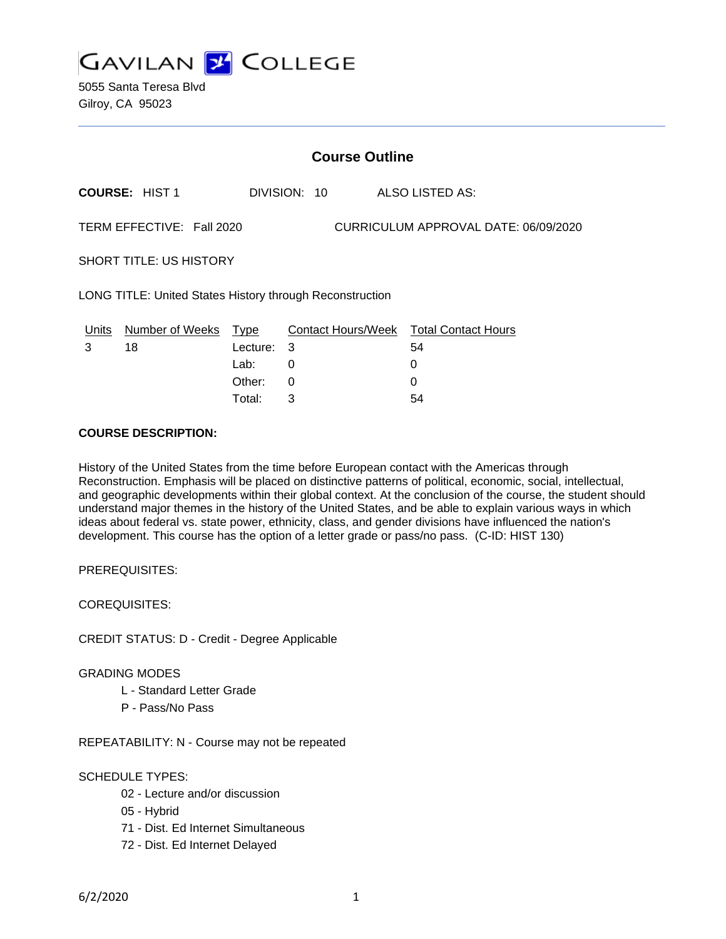

5055 Santa Teresa Blvd Gilroy, CA 95023

| <b>Course Outline</b>                                             |                       |          |              |                                        |
|-------------------------------------------------------------------|-----------------------|----------|--------------|----------------------------------------|
|                                                                   | <b>COURSE: HIST 1</b> |          | DIVISION: 10 | ALSO LISTED AS:                        |
| CURRICULUM APPROVAL DATE: 06/09/2020<br>TERM EFFECTIVE: Fall 2020 |                       |          |              |                                        |
| <b>SHORT TITLE: US HISTORY</b>                                    |                       |          |              |                                        |
| LONG TITLE: United States History through Reconstruction          |                       |          |              |                                        |
| Units                                                             | Number of Weeks Type  |          |              | Contact Hours/Week Total Contact Hours |
| 3                                                                 | 18                    | Lecture: | - 3          | 54                                     |
|                                                                   |                       | Lab:     | 0            | 0                                      |
|                                                                   |                       | Other:   | 0            | 0                                      |
|                                                                   |                       | Total:   | 3            | 54                                     |

#### **COURSE DESCRIPTION:**

History of the United States from the time before European contact with the Americas through Reconstruction. Emphasis will be placed on distinctive patterns of political, economic, social, intellectual, and geographic developments within their global context. At the conclusion of the course, the student should understand major themes in the history of the United States, and be able to explain various ways in which ideas about federal vs. state power, ethnicity, class, and gender divisions have influenced the nation's development. This course has the option of a letter grade or pass/no pass. (C-ID: HIST 130)

PREREQUISITES:

COREQUISITES:

CREDIT STATUS: D - Credit - Degree Applicable

#### GRADING MODES

- L Standard Letter Grade
- P Pass/No Pass

REPEATABILITY: N - Course may not be repeated

#### SCHEDULE TYPES:

- 02 Lecture and/or discussion
- 05 Hybrid
- 71 Dist. Ed Internet Simultaneous
- 72 Dist. Ed Internet Delayed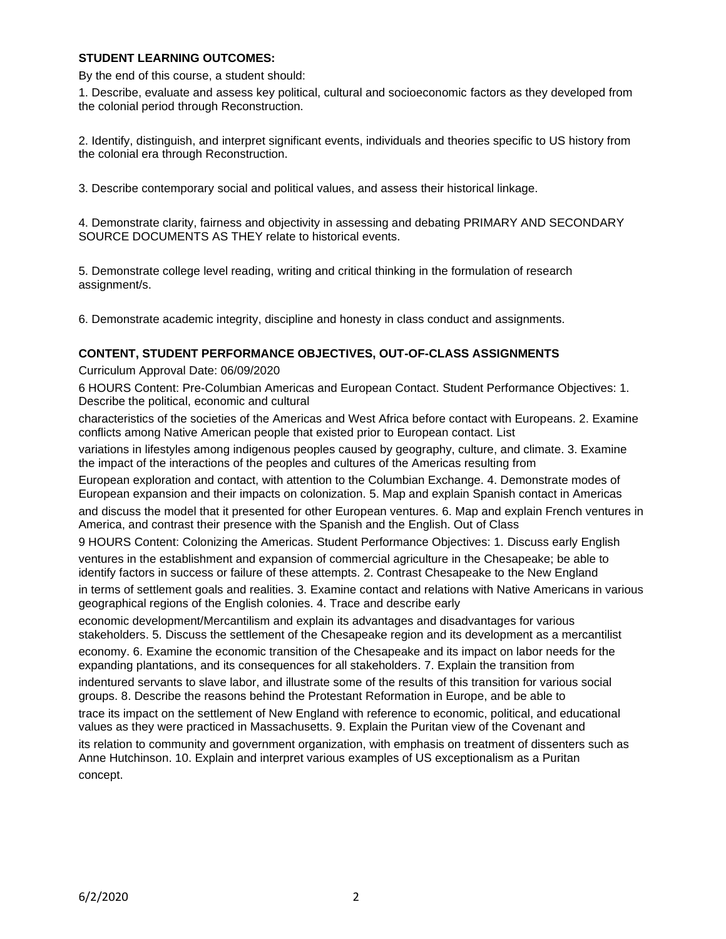# **STUDENT LEARNING OUTCOMES:**

By the end of this course, a student should:

1. Describe, evaluate and assess key political, cultural and socioeconomic factors as they developed from the colonial period through Reconstruction.

2. Identify, distinguish, and interpret significant events, individuals and theories specific to US history from the colonial era through Reconstruction.

3. Describe contemporary social and political values, and assess their historical linkage.

4. Demonstrate clarity, fairness and objectivity in assessing and debating PRIMARY AND SECONDARY SOURCE DOCUMENTS AS THEY relate to historical events.

5. Demonstrate college level reading, writing and critical thinking in the formulation of research assignment/s.

6. Demonstrate academic integrity, discipline and honesty in class conduct and assignments.

# **CONTENT, STUDENT PERFORMANCE OBJECTIVES, OUT-OF-CLASS ASSIGNMENTS**

Curriculum Approval Date: 06/09/2020

6 HOURS Content: Pre-Columbian Americas and European Contact. Student Performance Objectives: 1. Describe the political, economic and cultural

characteristics of the societies of the Americas and West Africa before contact with Europeans. 2. Examine conflicts among Native American people that existed prior to European contact. List

variations in lifestyles among indigenous peoples caused by geography, culture, and climate. 3. Examine the impact of the interactions of the peoples and cultures of the Americas resulting from

European exploration and contact, with attention to the Columbian Exchange. 4. Demonstrate modes of European expansion and their impacts on colonization. 5. Map and explain Spanish contact in Americas

and discuss the model that it presented for other European ventures. 6. Map and explain French ventures in America, and contrast their presence with the Spanish and the English. Out of Class

9 HOURS Content: Colonizing the Americas. Student Performance Objectives: 1. Discuss early English ventures in the establishment and expansion of commercial agriculture in the Chesapeake; be able to identify factors in success or failure of these attempts. 2. Contrast Chesapeake to the New England in terms of settlement goals and realities. 3. Examine contact and relations with Native Americans in various geographical regions of the English colonies. 4. Trace and describe early

economic development/Mercantilism and explain its advantages and disadvantages for various stakeholders. 5. Discuss the settlement of the Chesapeake region and its development as a mercantilist

economy. 6. Examine the economic transition of the Chesapeake and its impact on labor needs for the expanding plantations, and its consequences for all stakeholders. 7. Explain the transition from indentured servants to slave labor, and illustrate some of the results of this transition for various social groups. 8. Describe the reasons behind the Protestant Reformation in Europe, and be able to

trace its impact on the settlement of New England with reference to economic, political, and educational values as they were practiced in Massachusetts. 9. Explain the Puritan view of the Covenant and its relation to community and government organization, with emphasis on treatment of dissenters such as Anne Hutchinson. 10. Explain and interpret various examples of US exceptionalism as a Puritan concept.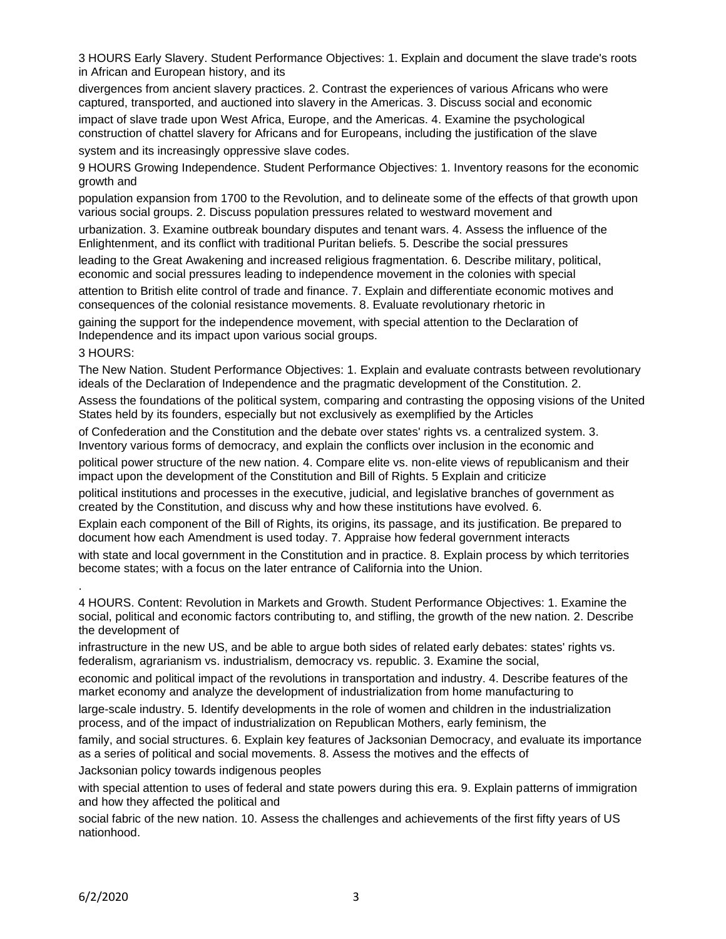3 HOURS Early Slavery. Student Performance Objectives: 1. Explain and document the slave trade's roots in African and European history, and its

divergences from ancient slavery practices. 2. Contrast the experiences of various Africans who were captured, transported, and auctioned into slavery in the Americas. 3. Discuss social and economic

impact of slave trade upon West Africa, Europe, and the Americas. 4. Examine the psychological construction of chattel slavery for Africans and for Europeans, including the justification of the slave system and its increasingly oppressive slave codes.

9 HOURS Growing Independence. Student Performance Objectives: 1. Inventory reasons for the economic growth and

population expansion from 1700 to the Revolution, and to delineate some of the effects of that growth upon various social groups. 2. Discuss population pressures related to westward movement and

urbanization. 3. Examine outbreak boundary disputes and tenant wars. 4. Assess the influence of the Enlightenment, and its conflict with traditional Puritan beliefs. 5. Describe the social pressures

leading to the Great Awakening and increased religious fragmentation. 6. Describe military, political, economic and social pressures leading to independence movement in the colonies with special attention to British elite control of trade and finance. 7. Explain and differentiate economic motives and consequences of the colonial resistance movements. 8. Evaluate revolutionary rhetoric in

gaining the support for the independence movement, with special attention to the Declaration of Independence and its impact upon various social groups.

#### 3 HOURS:

.

The New Nation. Student Performance Objectives: 1. Explain and evaluate contrasts between revolutionary ideals of the Declaration of Independence and the pragmatic development of the Constitution. 2.

Assess the foundations of the political system, comparing and contrasting the opposing visions of the United States held by its founders, especially but not exclusively as exemplified by the Articles

of Confederation and the Constitution and the debate over states' rights vs. a centralized system. 3. Inventory various forms of democracy, and explain the conflicts over inclusion in the economic and

political power structure of the new nation. 4. Compare elite vs. non-elite views of republicanism and their impact upon the development of the Constitution and Bill of Rights. 5 Explain and criticize

political institutions and processes in the executive, judicial, and legislative branches of government as created by the Constitution, and discuss why and how these institutions have evolved. 6.

Explain each component of the Bill of Rights, its origins, its passage, and its justification. Be prepared to document how each Amendment is used today. 7. Appraise how federal government interacts

with state and local government in the Constitution and in practice. 8. Explain process by which territories become states; with a focus on the later entrance of California into the Union.

4 HOURS. Content: Revolution in Markets and Growth. Student Performance Objectives: 1. Examine the social, political and economic factors contributing to, and stifling, the growth of the new nation. 2. Describe the development of

infrastructure in the new US, and be able to argue both sides of related early debates: states' rights vs. federalism, agrarianism vs. industrialism, democracy vs. republic. 3. Examine the social,

economic and political impact of the revolutions in transportation and industry. 4. Describe features of the market economy and analyze the development of industrialization from home manufacturing to

large-scale industry. 5. Identify developments in the role of women and children in the industrialization process, and of the impact of industrialization on Republican Mothers, early feminism, the

family, and social structures. 6. Explain key features of Jacksonian Democracy, and evaluate its importance as a series of political and social movements. 8. Assess the motives and the effects of

Jacksonian policy towards indigenous peoples

with special attention to uses of federal and state powers during this era. 9. Explain patterns of immigration and how they affected the political and

social fabric of the new nation. 10. Assess the challenges and achievements of the first fifty years of US nationhood.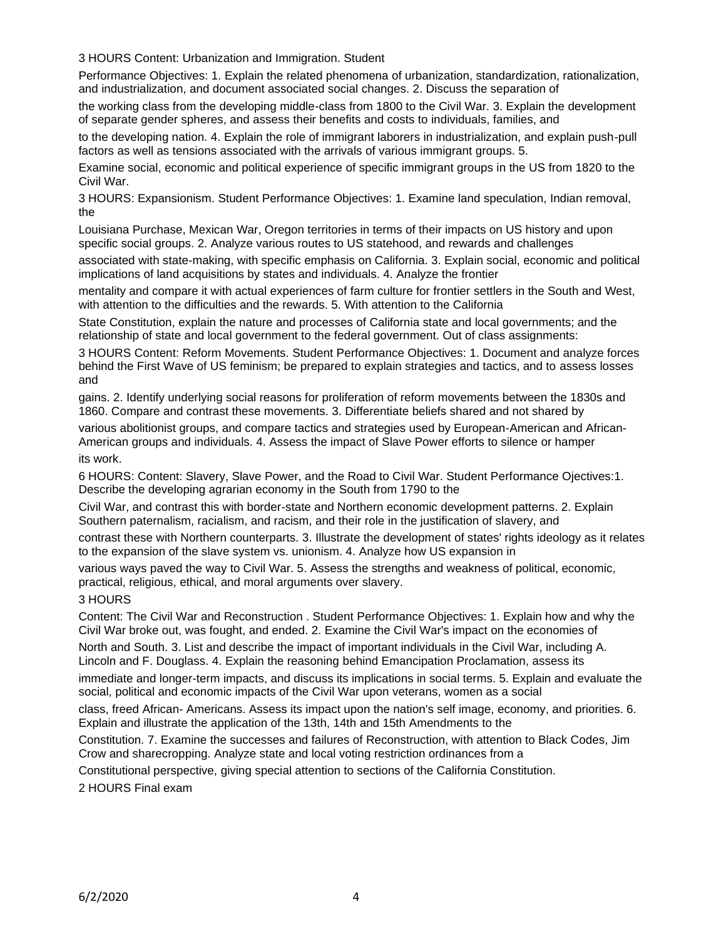3 HOURS Content: Urbanization and Immigration. Student

Performance Objectives: 1. Explain the related phenomena of urbanization, standardization, rationalization, and industrialization, and document associated social changes. 2. Discuss the separation of

the working class from the developing middle-class from 1800 to the Civil War. 3. Explain the development of separate gender spheres, and assess their benefits and costs to individuals, families, and

to the developing nation. 4. Explain the role of immigrant laborers in industrialization, and explain push-pull factors as well as tensions associated with the arrivals of various immigrant groups. 5.

Examine social, economic and political experience of specific immigrant groups in the US from 1820 to the Civil War.

3 HOURS: Expansionism. Student Performance Objectives: 1. Examine land speculation, Indian removal, the

Louisiana Purchase, Mexican War, Oregon territories in terms of their impacts on US history and upon specific social groups. 2. Analyze various routes to US statehood, and rewards and challenges

associated with state-making, with specific emphasis on California. 3. Explain social, economic and political implications of land acquisitions by states and individuals. 4. Analyze the frontier

mentality and compare it with actual experiences of farm culture for frontier settlers in the South and West, with attention to the difficulties and the rewards. 5. With attention to the California

State Constitution, explain the nature and processes of California state and local governments; and the relationship of state and local government to the federal government. Out of class assignments:

3 HOURS Content: Reform Movements. Student Performance Objectives: 1. Document and analyze forces behind the First Wave of US feminism; be prepared to explain strategies and tactics, and to assess losses and

gains. 2. Identify underlying social reasons for proliferation of reform movements between the 1830s and 1860. Compare and contrast these movements. 3. Differentiate beliefs shared and not shared by

various abolitionist groups, and compare tactics and strategies used by European-American and African-American groups and individuals. 4. Assess the impact of Slave Power efforts to silence or hamper its work.

6 HOURS: Content: Slavery, Slave Power, and the Road to Civil War. Student Performance Ojectives:1. Describe the developing agrarian economy in the South from 1790 to the

Civil War, and contrast this with border-state and Northern economic development patterns. 2. Explain Southern paternalism, racialism, and racism, and their role in the justification of slavery, and

contrast these with Northern counterparts. 3. Illustrate the development of states' rights ideology as it relates to the expansion of the slave system vs. unionism. 4. Analyze how US expansion in

various ways paved the way to Civil War. 5. Assess the strengths and weakness of political, economic, practical, religious, ethical, and moral arguments over slavery.

# 3 HOURS

Content: The Civil War and Reconstruction . Student Performance Objectives: 1. Explain how and why the Civil War broke out, was fought, and ended. 2. Examine the Civil War's impact on the economies of

North and South. 3. List and describe the impact of important individuals in the Civil War, including A. Lincoln and F. Douglass. 4. Explain the reasoning behind Emancipation Proclamation, assess its

immediate and longer-term impacts, and discuss its implications in social terms. 5. Explain and evaluate the social, political and economic impacts of the Civil War upon veterans, women as a social

class, freed African- Americans. Assess its impact upon the nation's self image, economy, and priorities. 6. Explain and illustrate the application of the 13th, 14th and 15th Amendments to the

Constitution. 7. Examine the successes and failures of Reconstruction, with attention to Black Codes, Jim Crow and sharecropping. Analyze state and local voting restriction ordinances from a

Constitutional perspective, giving special attention to sections of the California Constitution.

2 HOURS Final exam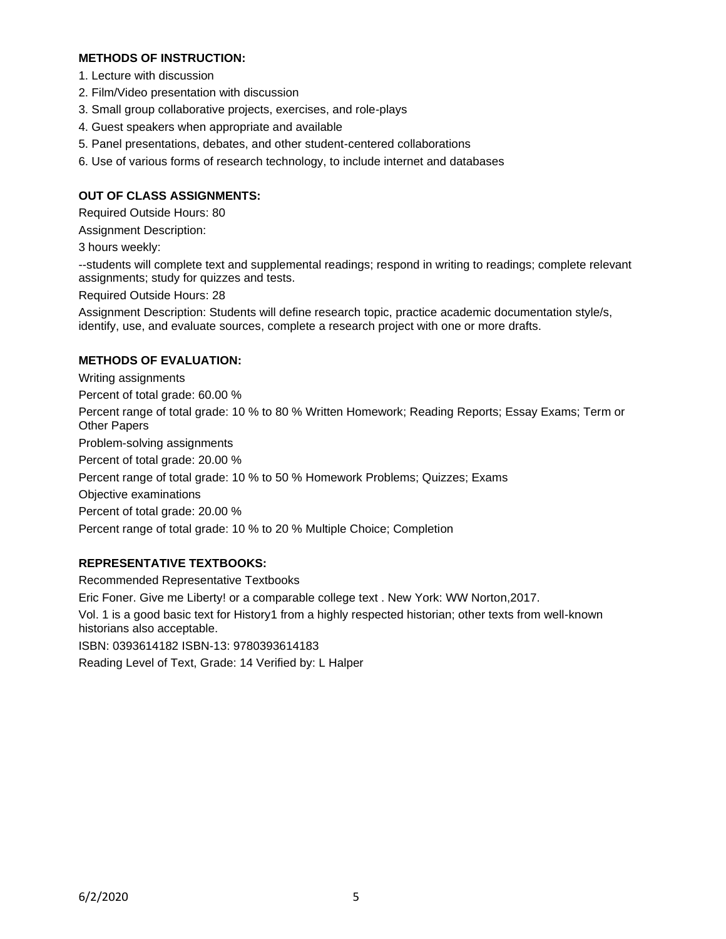## **METHODS OF INSTRUCTION:**

- 1. Lecture with discussion
- 2. Film/Video presentation with discussion
- 3. Small group collaborative projects, exercises, and role-plays
- 4. Guest speakers when appropriate and available
- 5. Panel presentations, debates, and other student-centered collaborations
- 6. Use of various forms of research technology, to include internet and databases

### **OUT OF CLASS ASSIGNMENTS:**

Required Outside Hours: 80

Assignment Description:

3 hours weekly:

--students will complete text and supplemental readings; respond in writing to readings; complete relevant assignments; study for quizzes and tests.

Required Outside Hours: 28

Assignment Description: Students will define research topic, practice academic documentation style/s, identify, use, and evaluate sources, complete a research project with one or more drafts.

#### **METHODS OF EVALUATION:**

Writing assignments Percent of total grade: 60.00 % Percent range of total grade: 10 % to 80 % Written Homework; Reading Reports; Essay Exams; Term or Other Papers Problem-solving assignments Percent of total grade: 20.00 % Percent range of total grade: 10 % to 50 % Homework Problems; Quizzes; Exams Objective examinations Percent of total grade: 20.00 % Percent range of total grade: 10 % to 20 % Multiple Choice; Completion

# **REPRESENTATIVE TEXTBOOKS:**

Recommended Representative Textbooks Eric Foner. Give me Liberty! or a comparable college text . New York: WW Norton,2017. Vol. 1 is a good basic text for History1 from a highly respected historian; other texts from well-known historians also acceptable. ISBN: 0393614182 ISBN-13: 9780393614183 Reading Level of Text, Grade: 14 Verified by: L Halper